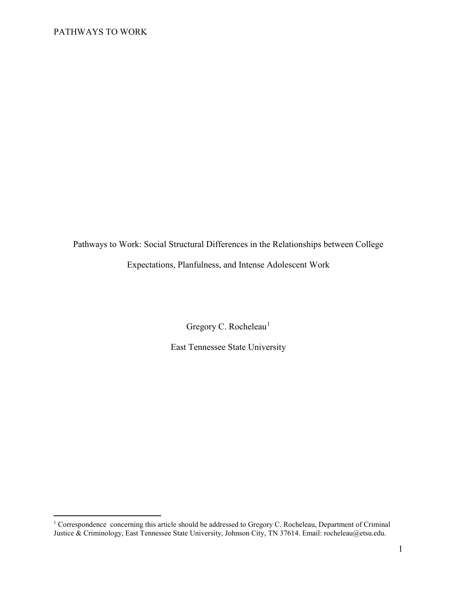$\overline{a}$ 

Pathways to Work: Social Structural Differences in the Relationships between College Expectations, Planfulness, and Intense Adolescent Work

Gregory C. Rocheleau<sup>[1](#page-0-0)</sup>

East Tennessee State University

<span id="page-0-0"></span><sup>&</sup>lt;sup>1</sup> Correspondence concerning this article should be addressed to Gregory C. Rocheleau, Department of Criminal Justice & Criminology, East Tennessee State University, Johnson City, TN 37614. Email: rocheleau@etsu.edu.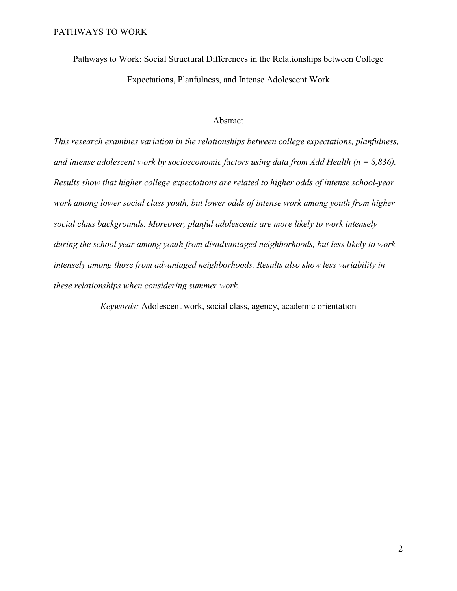Pathways to Work: Social Structural Differences in the Relationships between College Expectations, Planfulness, and Intense Adolescent Work

## Abstract

*This research examines variation in the relationships between college expectations, planfulness, and intense adolescent work by socioeconomic factors using data from Add Health (n = 8,836). Results show that higher college expectations are related to higher odds of intense school-year work among lower social class youth, but lower odds of intense work among youth from higher social class backgrounds. Moreover, planful adolescents are more likely to work intensely during the school year among youth from disadvantaged neighborhoods, but less likely to work intensely among those from advantaged neighborhoods. Results also show less variability in these relationships when considering summer work.* 

*Keywords:* Adolescent work, social class, agency, academic orientation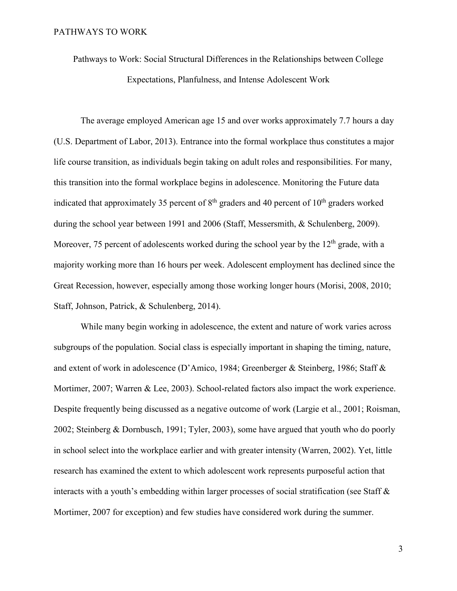Pathways to Work: Social Structural Differences in the Relationships between College Expectations, Planfulness, and Intense Adolescent Work

The average employed American age 15 and over works approximately 7.7 hours a day (U.S. Department of Labor, 2013). Entrance into the formal workplace thus constitutes a major life course transition, as individuals begin taking on adult roles and responsibilities. For many, this transition into the formal workplace begins in adolescence. Monitoring the Future data indicated that approximately 35 percent of  $8<sup>th</sup>$  graders and 40 percent of  $10<sup>th</sup>$  graders worked during the school year between 1991 and 2006 (Staff, Messersmith, & Schulenberg, 2009). Moreover, 75 percent of adolescents worked during the school year by the  $12<sup>th</sup>$  grade, with a majority working more than 16 hours per week. Adolescent employment has declined since the Great Recession, however, especially among those working longer hours (Morisi, 2008, 2010; Staff, Johnson, Patrick, & Schulenberg, 2014).

While many begin working in adolescence, the extent and nature of work varies across subgroups of the population. Social class is especially important in shaping the timing, nature, and extent of work in adolescence (D'Amico, 1984; Greenberger & Steinberg, 1986; Staff & Mortimer, 2007; Warren & Lee, 2003). School-related factors also impact the work experience. Despite frequently being discussed as a negative outcome of work (Largie et al., 2001; Roisman, 2002; Steinberg & Dornbusch, 1991; Tyler, 2003), some have argued that youth who do poorly in school select into the workplace earlier and with greater intensity (Warren, 2002). Yet, little research has examined the extent to which adolescent work represents purposeful action that interacts with a youth's embedding within larger processes of social stratification (see Staff & Mortimer, 2007 for exception) and few studies have considered work during the summer.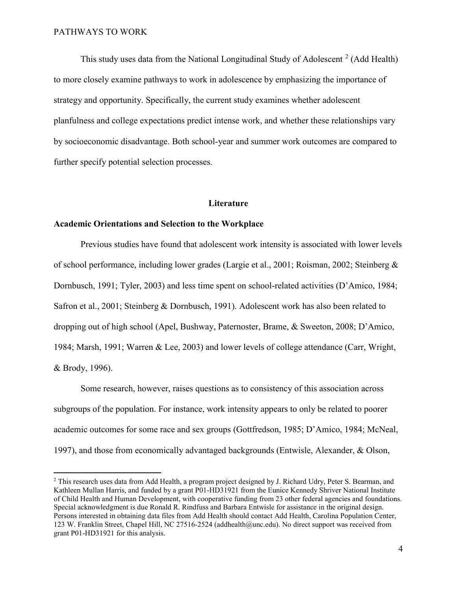$\overline{a}$ 

This study uses data from the National Longitudinal Study of Adolescent<sup>[2](#page-3-0)</sup> (Add Health) to more closely examine pathways to work in adolescence by emphasizing the importance of strategy and opportunity. Specifically, the current study examines whether adolescent planfulness and college expectations predict intense work, and whether these relationships vary by socioeconomic disadvantage. Both school-year and summer work outcomes are compared to further specify potential selection processes.

### **Literature**

### **Academic Orientations and Selection to the Workplace**

Previous studies have found that adolescent work intensity is associated with lower levels of school performance, including lower grades (Largie et al., 2001; Roisman, 2002; Steinberg & Dornbusch, 1991; Tyler, 2003) and less time spent on school-related activities (D'Amico, 1984; Safron et al., 2001; Steinberg & Dornbusch, 1991). Adolescent work has also been related to dropping out of high school (Apel, Bushway, Paternoster, Brame, & Sweeton, 2008; D'Amico, 1984; Marsh, 1991; Warren & Lee, 2003) and lower levels of college attendance (Carr, Wright, & Brody, 1996).

Some research, however, raises questions as to consistency of this association across subgroups of the population. For instance, work intensity appears to only be related to poorer academic outcomes for some race and sex groups (Gottfredson, 1985; D'Amico, 1984; McNeal, 1997), and those from economically advantaged backgrounds (Entwisle, Alexander, & Olson,

<span id="page-3-0"></span><sup>&</sup>lt;sup>2</sup> This research uses data from Add Health, a program project designed by J. Richard Udry, Peter S. Bearman, and Kathleen Mullan Harris, and funded by a grant P01-HD31921 from the Eunice Kennedy Shriver National Institute of Child Health and Human Development, with cooperative funding from 23 other federal agencies and foundations. Special acknowledgment is due Ronald R. Rindfuss and Barbara Entwisle for assistance in the original design. Persons interested in obtaining data files from Add Health should contact Add Health, Carolina Population Center, 123 W. Franklin Street, Chapel Hill, NC 27516-2524 (addhealth@unc.edu). No direct support was received from grant P01-HD31921 for this analysis.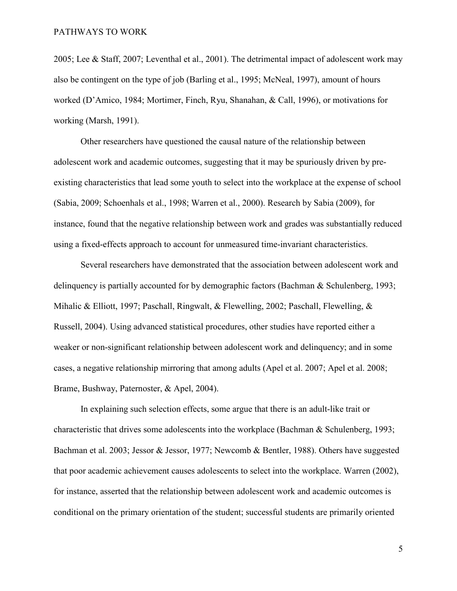2005; Lee & Staff, 2007; Leventhal et al., 2001). The detrimental impact of adolescent work may also be contingent on the type of job (Barling et al., 1995; McNeal, 1997), amount of hours worked (D'Amico, 1984; Mortimer, Finch, Ryu, Shanahan, & Call, 1996), or motivations for working (Marsh, 1991).

Other researchers have questioned the causal nature of the relationship between adolescent work and academic outcomes, suggesting that it may be spuriously driven by preexisting characteristics that lead some youth to select into the workplace at the expense of school (Sabia, 2009; Schoenhals et al., 1998; Warren et al., 2000). Research by Sabia (2009), for instance, found that the negative relationship between work and grades was substantially reduced using a fixed-effects approach to account for unmeasured time-invariant characteristics.

Several researchers have demonstrated that the association between adolescent work and delinquency is partially accounted for by demographic factors (Bachman & Schulenberg, 1993; Mihalic & Elliott, 1997; Paschall, Ringwalt, & Flewelling, 2002; Paschall, Flewelling, & Russell, 2004). Using advanced statistical procedures, other studies have reported either a weaker or non-significant relationship between adolescent work and delinquency; and in some cases, a negative relationship mirroring that among adults (Apel et al. 2007; Apel et al. 2008; Brame, Bushway, Paternoster, & Apel, 2004).

In explaining such selection effects, some argue that there is an adult-like trait or characteristic that drives some adolescents into the workplace (Bachman & Schulenberg, 1993; Bachman et al. 2003; Jessor & Jessor, 1977; Newcomb & Bentler, 1988). Others have suggested that poor academic achievement causes adolescents to select into the workplace. Warren (2002), for instance, asserted that the relationship between adolescent work and academic outcomes is conditional on the primary orientation of the student; successful students are primarily oriented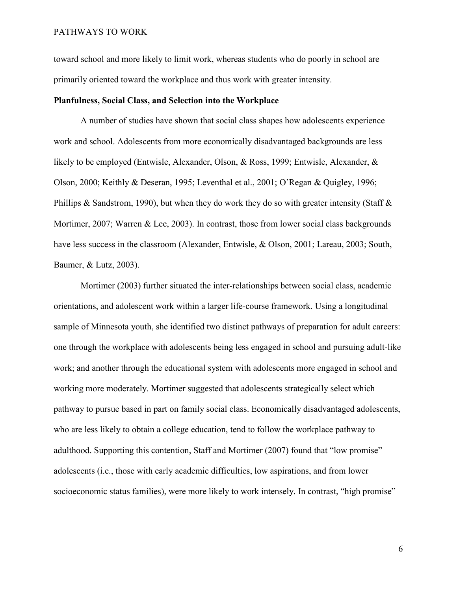toward school and more likely to limit work, whereas students who do poorly in school are primarily oriented toward the workplace and thus work with greater intensity.

### **Planfulness, Social Class, and Selection into the Workplace**

A number of studies have shown that social class shapes how adolescents experience work and school. Adolescents from more economically disadvantaged backgrounds are less likely to be employed (Entwisle, Alexander, Olson, & Ross, 1999; Entwisle, Alexander, & Olson, 2000; Keithly & Deseran, 1995; Leventhal et al., 2001; O'Regan & Quigley, 1996; Phillips & Sandstrom, 1990), but when they do work they do so with greater intensity (Staff  $\&$ Mortimer, 2007; Warren & Lee, 2003). In contrast, those from lower social class backgrounds have less success in the classroom (Alexander, Entwisle, & Olson, 2001; Lareau, 2003; South, Baumer, & Lutz, 2003).

Mortimer (2003) further situated the inter-relationships between social class, academic orientations, and adolescent work within a larger life-course framework. Using a longitudinal sample of Minnesota youth, she identified two distinct pathways of preparation for adult careers: one through the workplace with adolescents being less engaged in school and pursuing adult-like work; and another through the educational system with adolescents more engaged in school and working more moderately. Mortimer suggested that adolescents strategically select which pathway to pursue based in part on family social class. Economically disadvantaged adolescents, who are less likely to obtain a college education, tend to follow the workplace pathway to adulthood. Supporting this contention, Staff and Mortimer (2007) found that "low promise" adolescents (i.e., those with early academic difficulties, low aspirations, and from lower socioeconomic status families), were more likely to work intensely. In contrast, "high promise"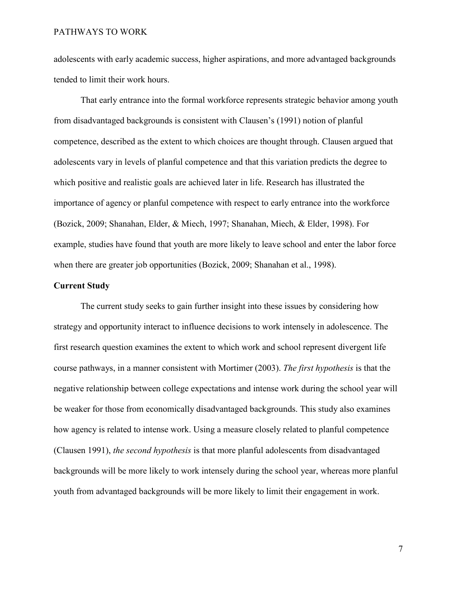adolescents with early academic success, higher aspirations, and more advantaged backgrounds tended to limit their work hours.

That early entrance into the formal workforce represents strategic behavior among youth from disadvantaged backgrounds is consistent with Clausen's (1991) notion of planful competence, described as the extent to which choices are thought through. Clausen argued that adolescents vary in levels of planful competence and that this variation predicts the degree to which positive and realistic goals are achieved later in life. Research has illustrated the importance of agency or planful competence with respect to early entrance into the workforce (Bozick, 2009; Shanahan, Elder, & Miech, 1997; Shanahan, Miech, & Elder, 1998). For example, studies have found that youth are more likely to leave school and enter the labor force when there are greater job opportunities (Bozick, 2009; Shanahan et al., 1998).

### **Current Study**

The current study seeks to gain further insight into these issues by considering how strategy and opportunity interact to influence decisions to work intensely in adolescence. The first research question examines the extent to which work and school represent divergent life course pathways, in a manner consistent with Mortimer (2003). *The first hypothesis* is that the negative relationship between college expectations and intense work during the school year will be weaker for those from economically disadvantaged backgrounds. This study also examines how agency is related to intense work. Using a measure closely related to planful competence (Clausen 1991), *the second hypothesis* is that more planful adolescents from disadvantaged backgrounds will be more likely to work intensely during the school year, whereas more planful youth from advantaged backgrounds will be more likely to limit their engagement in work.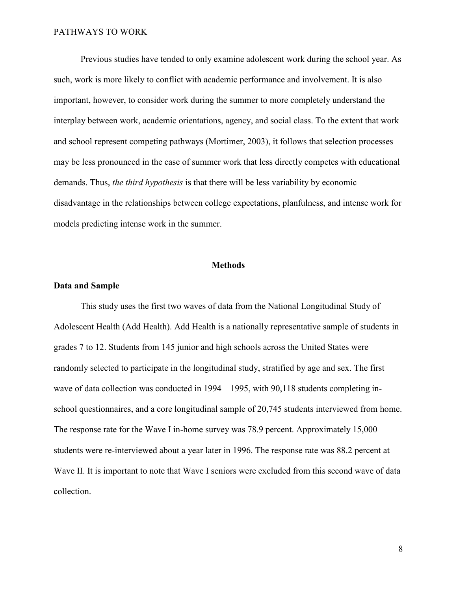Previous studies have tended to only examine adolescent work during the school year. As such, work is more likely to conflict with academic performance and involvement. It is also important, however, to consider work during the summer to more completely understand the interplay between work, academic orientations, agency, and social class. To the extent that work and school represent competing pathways (Mortimer, 2003), it follows that selection processes may be less pronounced in the case of summer work that less directly competes with educational demands. Thus, *the third hypothesis* is that there will be less variability by economic disadvantage in the relationships between college expectations, planfulness, and intense work for models predicting intense work in the summer.

### **Methods**

### **Data and Sample**

This study uses the first two waves of data from the National Longitudinal Study of Adolescent Health (Add Health). Add Health is a nationally representative sample of students in grades 7 to 12. Students from 145 junior and high schools across the United States were randomly selected to participate in the longitudinal study, stratified by age and sex. The first wave of data collection was conducted in 1994 – 1995, with 90,118 students completing inschool questionnaires, and a core longitudinal sample of 20,745 students interviewed from home. The response rate for the Wave I in-home survey was 78.9 percent. Approximately 15,000 students were re-interviewed about a year later in 1996. The response rate was 88.2 percent at Wave II. It is important to note that Wave I seniors were excluded from this second wave of data collection.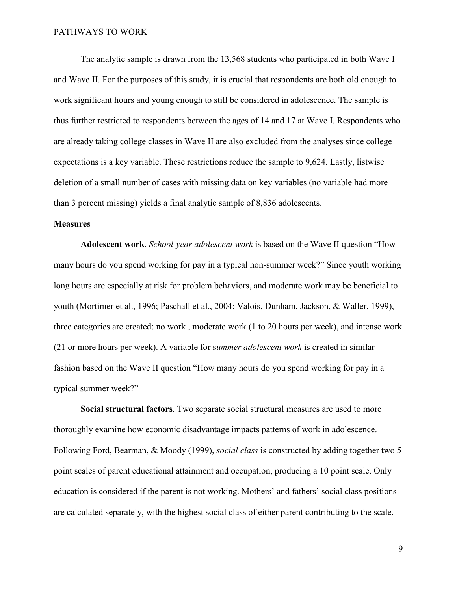The analytic sample is drawn from the 13,568 students who participated in both Wave I and Wave II. For the purposes of this study, it is crucial that respondents are both old enough to work significant hours and young enough to still be considered in adolescence. The sample is thus further restricted to respondents between the ages of 14 and 17 at Wave I. Respondents who are already taking college classes in Wave II are also excluded from the analyses since college expectations is a key variable. These restrictions reduce the sample to 9,624. Lastly, listwise deletion of a small number of cases with missing data on key variables (no variable had more than 3 percent missing) yields a final analytic sample of 8,836 adolescents.

### **Measures**

**Adolescent work**. *School-year adolescent work* is based on the Wave II question "How many hours do you spend working for pay in a typical non-summer week?" Since youth working long hours are especially at risk for problem behaviors, and moderate work may be beneficial to youth (Mortimer et al., 1996; Paschall et al., 2004; Valois, Dunham, Jackson, & Waller, 1999), three categories are created: no work , moderate work (1 to 20 hours per week), and intense work (21 or more hours per week). A variable for s*ummer adolescent work* is created in similar fashion based on the Wave II question "How many hours do you spend working for pay in a typical summer week?"

**Social structural factors**. Two separate social structural measures are used to more thoroughly examine how economic disadvantage impacts patterns of work in adolescence. Following Ford, Bearman, & Moody (1999), *social class* is constructed by adding together two 5 point scales of parent educational attainment and occupation, producing a 10 point scale. Only education is considered if the parent is not working. Mothers' and fathers' social class positions are calculated separately, with the highest social class of either parent contributing to the scale.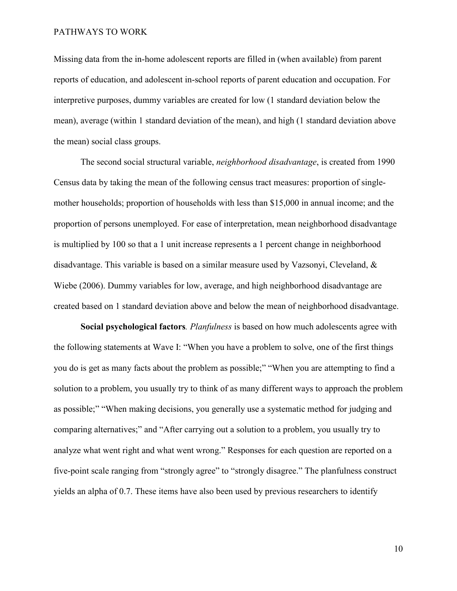Missing data from the in-home adolescent reports are filled in (when available) from parent reports of education, and adolescent in-school reports of parent education and occupation. For interpretive purposes, dummy variables are created for low (1 standard deviation below the mean), average (within 1 standard deviation of the mean), and high (1 standard deviation above the mean) social class groups.

The second social structural variable, *neighborhood disadvantage*, is created from 1990 Census data by taking the mean of the following census tract measures: proportion of singlemother households; proportion of households with less than \$15,000 in annual income; and the proportion of persons unemployed. For ease of interpretation, mean neighborhood disadvantage is multiplied by 100 so that a 1 unit increase represents a 1 percent change in neighborhood disadvantage. This variable is based on a similar measure used by Vazsonyi, Cleveland, & Wiebe (2006). Dummy variables for low, average, and high neighborhood disadvantage are created based on 1 standard deviation above and below the mean of neighborhood disadvantage.

**Social psychological factors***. Planfulness* is based on how much adolescents agree with the following statements at Wave I: "When you have a problem to solve, one of the first things you do is get as many facts about the problem as possible;" "When you are attempting to find a solution to a problem, you usually try to think of as many different ways to approach the problem as possible;" "When making decisions, you generally use a systematic method for judging and comparing alternatives;" and "After carrying out a solution to a problem, you usually try to analyze what went right and what went wrong." Responses for each question are reported on a five-point scale ranging from "strongly agree" to "strongly disagree." The planfulness construct yields an alpha of 0.7. These items have also been used by previous researchers to identify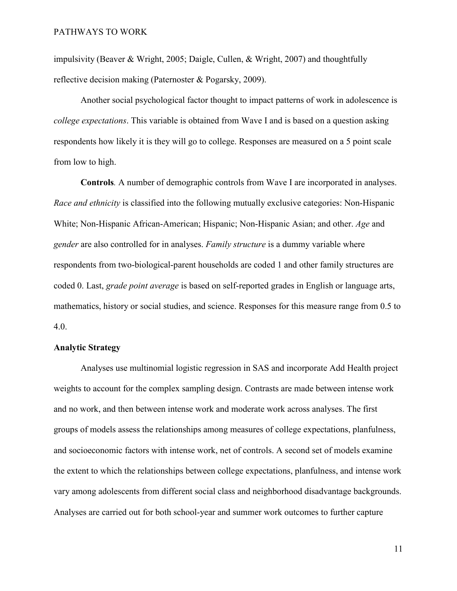impulsivity (Beaver & Wright, 2005; Daigle, Cullen, & Wright, 2007) and thoughtfully reflective decision making (Paternoster & Pogarsky, 2009).

Another social psychological factor thought to impact patterns of work in adolescence is *college expectations*. This variable is obtained from Wave I and is based on a question asking respondents how likely it is they will go to college. Responses are measured on a 5 point scale from low to high.

**Controls***.* A number of demographic controls from Wave I are incorporated in analyses. *Race and ethnicity* is classified into the following mutually exclusive categories: Non-Hispanic White; Non-Hispanic African-American; Hispanic; Non-Hispanic Asian; and other. *Age* and *gender* are also controlled for in analyses. *Family structure* is a dummy variable where respondents from two-biological-parent households are coded 1 and other family structures are coded 0. Last, *grade point average* is based on self-reported grades in English or language arts, mathematics, history or social studies, and science. Responses for this measure range from 0.5 to 4.0.

### **Analytic Strategy**

Analyses use multinomial logistic regression in SAS and incorporate Add Health project weights to account for the complex sampling design. Contrasts are made between intense work and no work, and then between intense work and moderate work across analyses. The first groups of models assess the relationships among measures of college expectations, planfulness, and socioeconomic factors with intense work, net of controls. A second set of models examine the extent to which the relationships between college expectations, planfulness, and intense work vary among adolescents from different social class and neighborhood disadvantage backgrounds. Analyses are carried out for both school-year and summer work outcomes to further capture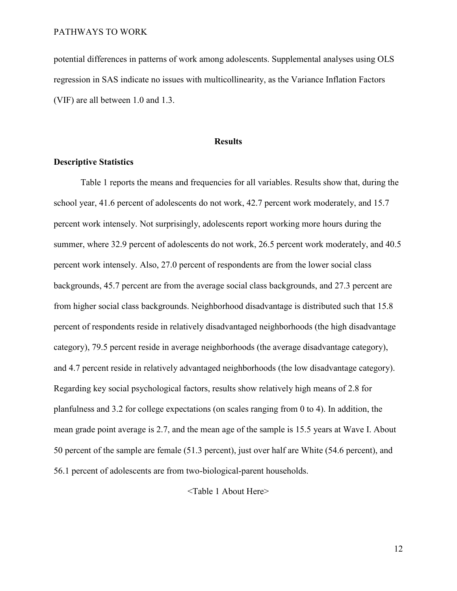potential differences in patterns of work among adolescents. Supplemental analyses using OLS regression in SAS indicate no issues with multicollinearity, as the Variance Inflation Factors (VIF) are all between 1.0 and 1.3.

### **Results**

## **Descriptive Statistics**

Table 1 reports the means and frequencies for all variables. Results show that, during the school year, 41.6 percent of adolescents do not work, 42.7 percent work moderately, and 15.7 percent work intensely. Not surprisingly, adolescents report working more hours during the summer, where 32.9 percent of adolescents do not work, 26.5 percent work moderately, and 40.5 percent work intensely. Also, 27.0 percent of respondents are from the lower social class backgrounds, 45.7 percent are from the average social class backgrounds, and 27.3 percent are from higher social class backgrounds. Neighborhood disadvantage is distributed such that 15.8 percent of respondents reside in relatively disadvantaged neighborhoods (the high disadvantage category), 79.5 percent reside in average neighborhoods (the average disadvantage category), and 4.7 percent reside in relatively advantaged neighborhoods (the low disadvantage category). Regarding key social psychological factors, results show relatively high means of 2.8 for planfulness and 3.2 for college expectations (on scales ranging from 0 to 4). In addition, the mean grade point average is 2.7, and the mean age of the sample is 15.5 years at Wave I. About 50 percent of the sample are female (51.3 percent), just over half are White (54.6 percent), and 56.1 percent of adolescents are from two-biological-parent households.

<Table 1 About Here>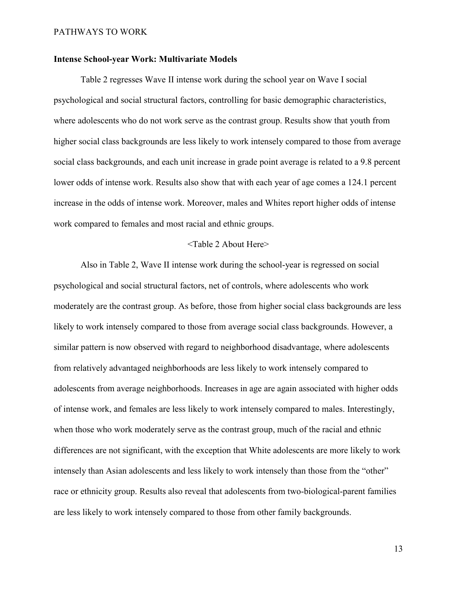### **Intense School-year Work: Multivariate Models**

Table 2 regresses Wave II intense work during the school year on Wave I social psychological and social structural factors, controlling for basic demographic characteristics, where adolescents who do not work serve as the contrast group. Results show that youth from higher social class backgrounds are less likely to work intensely compared to those from average social class backgrounds, and each unit increase in grade point average is related to a 9.8 percent lower odds of intense work. Results also show that with each year of age comes a 124.1 percent increase in the odds of intense work. Moreover, males and Whites report higher odds of intense work compared to females and most racial and ethnic groups.

### <Table 2 About Here>

Also in Table 2, Wave II intense work during the school-year is regressed on social psychological and social structural factors, net of controls, where adolescents who work moderately are the contrast group. As before, those from higher social class backgrounds are less likely to work intensely compared to those from average social class backgrounds. However, a similar pattern is now observed with regard to neighborhood disadvantage, where adolescents from relatively advantaged neighborhoods are less likely to work intensely compared to adolescents from average neighborhoods. Increases in age are again associated with higher odds of intense work, and females are less likely to work intensely compared to males. Interestingly, when those who work moderately serve as the contrast group, much of the racial and ethnic differences are not significant, with the exception that White adolescents are more likely to work intensely than Asian adolescents and less likely to work intensely than those from the "other" race or ethnicity group. Results also reveal that adolescents from two-biological-parent families are less likely to work intensely compared to those from other family backgrounds.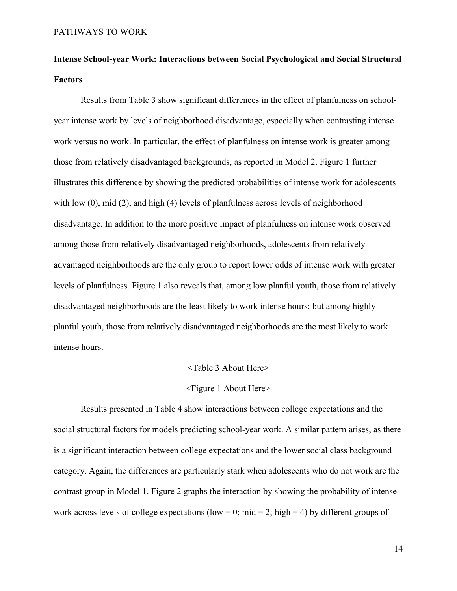# **Intense School-year Work: Interactions between Social Psychological and Social Structural Factors**

Results from Table 3 show significant differences in the effect of planfulness on schoolyear intense work by levels of neighborhood disadvantage, especially when contrasting intense work versus no work. In particular, the effect of planfulness on intense work is greater among those from relatively disadvantaged backgrounds, as reported in Model 2. Figure 1 further illustrates this difference by showing the predicted probabilities of intense work for adolescents with low (0), mid (2), and high (4) levels of planfulness across levels of neighborhood disadvantage. In addition to the more positive impact of planfulness on intense work observed among those from relatively disadvantaged neighborhoods, adolescents from relatively advantaged neighborhoods are the only group to report lower odds of intense work with greater levels of planfulness. Figure 1 also reveals that, among low planful youth, those from relatively disadvantaged neighborhoods are the least likely to work intense hours; but among highly planful youth, those from relatively disadvantaged neighborhoods are the most likely to work intense hours.

### <Table 3 About Here>

### <Figure 1 About Here>

 Results presented in Table 4 show interactions between college expectations and the social structural factors for models predicting school-year work. A similar pattern arises, as there is a significant interaction between college expectations and the lower social class background category. Again, the differences are particularly stark when adolescents who do not work are the contrast group in Model 1. Figure 2 graphs the interaction by showing the probability of intense work across levels of college expectations (low = 0; mid = 2; high = 4) by different groups of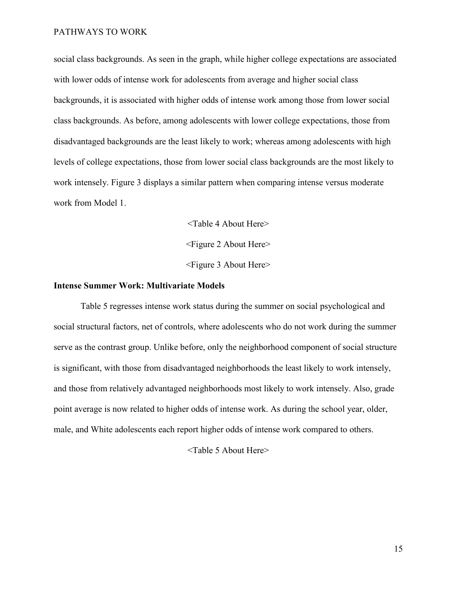social class backgrounds. As seen in the graph, while higher college expectations are associated with lower odds of intense work for adolescents from average and higher social class backgrounds, it is associated with higher odds of intense work among those from lower social class backgrounds. As before, among adolescents with lower college expectations, those from disadvantaged backgrounds are the least likely to work; whereas among adolescents with high levels of college expectations, those from lower social class backgrounds are the most likely to work intensely. Figure 3 displays a similar pattern when comparing intense versus moderate work from Model 1.

> <Table 4 About Here> <Figure 2 About Here> <Figure 3 About Here>

### **Intense Summer Work: Multivariate Models**

Table 5 regresses intense work status during the summer on social psychological and social structural factors, net of controls, where adolescents who do not work during the summer serve as the contrast group. Unlike before, only the neighborhood component of social structure is significant, with those from disadvantaged neighborhoods the least likely to work intensely, and those from relatively advantaged neighborhoods most likely to work intensely. Also, grade point average is now related to higher odds of intense work. As during the school year, older, male, and White adolescents each report higher odds of intense work compared to others.

<Table 5 About Here>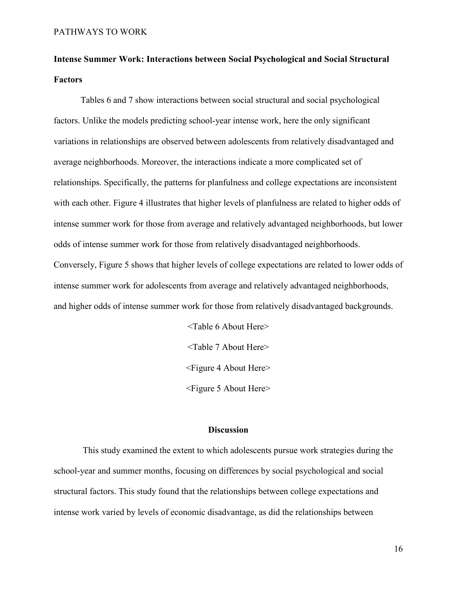# **Intense Summer Work: Interactions between Social Psychological and Social Structural Factors**

Tables 6 and 7 show interactions between social structural and social psychological factors. Unlike the models predicting school-year intense work, here the only significant variations in relationships are observed between adolescents from relatively disadvantaged and average neighborhoods. Moreover, the interactions indicate a more complicated set of relationships. Specifically, the patterns for planfulness and college expectations are inconsistent with each other. Figure 4 illustrates that higher levels of planfulness are related to higher odds of intense summer work for those from average and relatively advantaged neighborhoods, but lower odds of intense summer work for those from relatively disadvantaged neighborhoods. Conversely, Figure 5 shows that higher levels of college expectations are related to lower odds of intense summer work for adolescents from average and relatively advantaged neighborhoods, and higher odds of intense summer work for those from relatively disadvantaged backgrounds.

> <Table 6 About Here> <Table 7 About Here> <Figure 4 About Here> <Figure 5 About Here>

### **Discussion**

 This study examined the extent to which adolescents pursue work strategies during the school-year and summer months, focusing on differences by social psychological and social structural factors. This study found that the relationships between college expectations and intense work varied by levels of economic disadvantage, as did the relationships between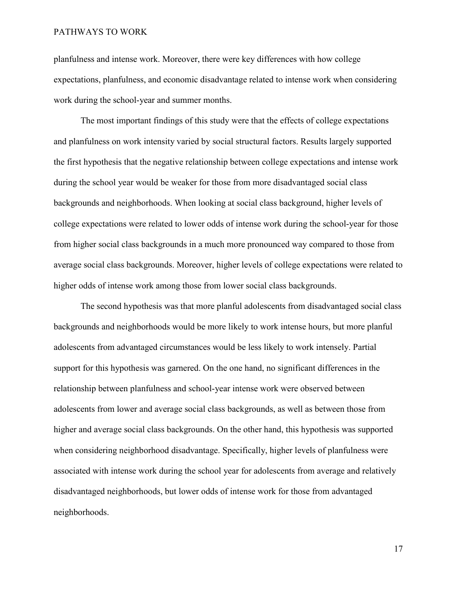planfulness and intense work. Moreover, there were key differences with how college expectations, planfulness, and economic disadvantage related to intense work when considering work during the school-year and summer months.

The most important findings of this study were that the effects of college expectations and planfulness on work intensity varied by social structural factors. Results largely supported the first hypothesis that the negative relationship between college expectations and intense work during the school year would be weaker for those from more disadvantaged social class backgrounds and neighborhoods. When looking at social class background, higher levels of college expectations were related to lower odds of intense work during the school-year for those from higher social class backgrounds in a much more pronounced way compared to those from average social class backgrounds. Moreover, higher levels of college expectations were related to higher odds of intense work among those from lower social class backgrounds.

The second hypothesis was that more planful adolescents from disadvantaged social class backgrounds and neighborhoods would be more likely to work intense hours, but more planful adolescents from advantaged circumstances would be less likely to work intensely. Partial support for this hypothesis was garnered. On the one hand, no significant differences in the relationship between planfulness and school-year intense work were observed between adolescents from lower and average social class backgrounds, as well as between those from higher and average social class backgrounds. On the other hand, this hypothesis was supported when considering neighborhood disadvantage. Specifically, higher levels of planfulness were associated with intense work during the school year for adolescents from average and relatively disadvantaged neighborhoods, but lower odds of intense work for those from advantaged neighborhoods.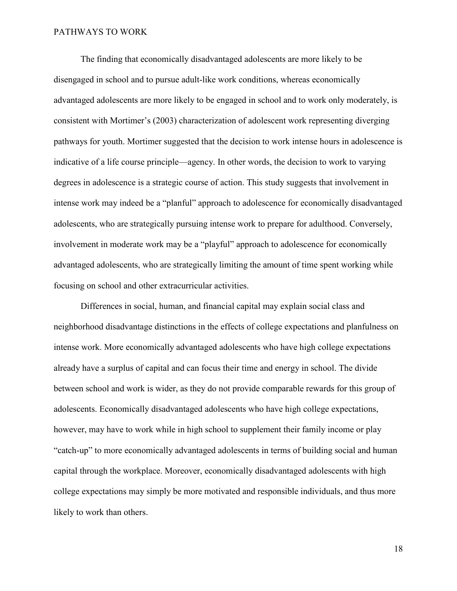The finding that economically disadvantaged adolescents are more likely to be disengaged in school and to pursue adult-like work conditions, whereas economically advantaged adolescents are more likely to be engaged in school and to work only moderately, is consistent with Mortimer's (2003) characterization of adolescent work representing diverging pathways for youth. Mortimer suggested that the decision to work intense hours in adolescence is indicative of a life course principle—agency. In other words, the decision to work to varying degrees in adolescence is a strategic course of action. This study suggests that involvement in intense work may indeed be a "planful" approach to adolescence for economically disadvantaged adolescents, who are strategically pursuing intense work to prepare for adulthood. Conversely, involvement in moderate work may be a "playful" approach to adolescence for economically advantaged adolescents, who are strategically limiting the amount of time spent working while focusing on school and other extracurricular activities.

Differences in social, human, and financial capital may explain social class and neighborhood disadvantage distinctions in the effects of college expectations and planfulness on intense work. More economically advantaged adolescents who have high college expectations already have a surplus of capital and can focus their time and energy in school. The divide between school and work is wider, as they do not provide comparable rewards for this group of adolescents. Economically disadvantaged adolescents who have high college expectations, however, may have to work while in high school to supplement their family income or play "catch-up" to more economically advantaged adolescents in terms of building social and human capital through the workplace. Moreover, economically disadvantaged adolescents with high college expectations may simply be more motivated and responsible individuals, and thus more likely to work than others.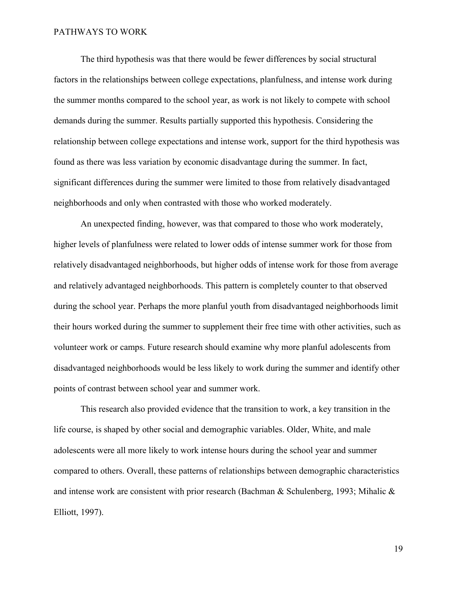The third hypothesis was that there would be fewer differences by social structural factors in the relationships between college expectations, planfulness, and intense work during the summer months compared to the school year, as work is not likely to compete with school demands during the summer. Results partially supported this hypothesis. Considering the relationship between college expectations and intense work, support for the third hypothesis was found as there was less variation by economic disadvantage during the summer. In fact, significant differences during the summer were limited to those from relatively disadvantaged neighborhoods and only when contrasted with those who worked moderately.

An unexpected finding, however, was that compared to those who work moderately, higher levels of planfulness were related to lower odds of intense summer work for those from relatively disadvantaged neighborhoods, but higher odds of intense work for those from average and relatively advantaged neighborhoods. This pattern is completely counter to that observed during the school year. Perhaps the more planful youth from disadvantaged neighborhoods limit their hours worked during the summer to supplement their free time with other activities, such as volunteer work or camps. Future research should examine why more planful adolescents from disadvantaged neighborhoods would be less likely to work during the summer and identify other points of contrast between school year and summer work.

This research also provided evidence that the transition to work, a key transition in the life course, is shaped by other social and demographic variables. Older, White, and male adolescents were all more likely to work intense hours during the school year and summer compared to others. Overall, these patterns of relationships between demographic characteristics and intense work are consistent with prior research (Bachman & Schulenberg, 1993; Mihalic & Elliott, 1997).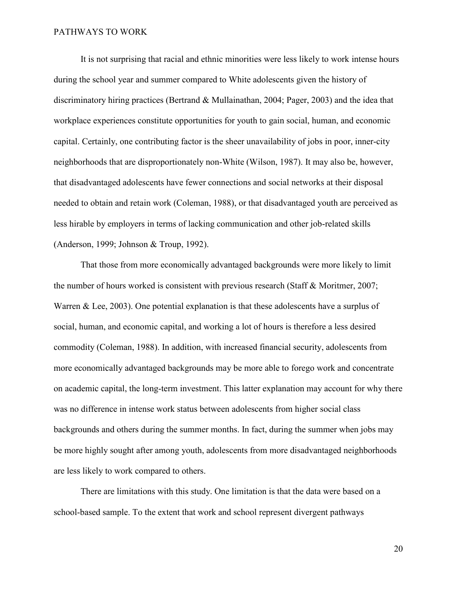It is not surprising that racial and ethnic minorities were less likely to work intense hours during the school year and summer compared to White adolescents given the history of discriminatory hiring practices (Bertrand & Mullainathan, 2004; Pager, 2003) and the idea that workplace experiences constitute opportunities for youth to gain social, human, and economic capital. Certainly, one contributing factor is the sheer unavailability of jobs in poor, inner-city neighborhoods that are disproportionately non-White (Wilson, 1987). It may also be, however, that disadvantaged adolescents have fewer connections and social networks at their disposal needed to obtain and retain work (Coleman, 1988), or that disadvantaged youth are perceived as less hirable by employers in terms of lacking communication and other job-related skills (Anderson, 1999; Johnson & Troup, 1992).

That those from more economically advantaged backgrounds were more likely to limit the number of hours worked is consistent with previous research (Staff & Moritmer, 2007; Warren & Lee, 2003). One potential explanation is that these adolescents have a surplus of social, human, and economic capital, and working a lot of hours is therefore a less desired commodity (Coleman, 1988). In addition, with increased financial security, adolescents from more economically advantaged backgrounds may be more able to forego work and concentrate on academic capital, the long-term investment. This latter explanation may account for why there was no difference in intense work status between adolescents from higher social class backgrounds and others during the summer months. In fact, during the summer when jobs may be more highly sought after among youth, adolescents from more disadvantaged neighborhoods are less likely to work compared to others.

There are limitations with this study. One limitation is that the data were based on a school-based sample. To the extent that work and school represent divergent pathways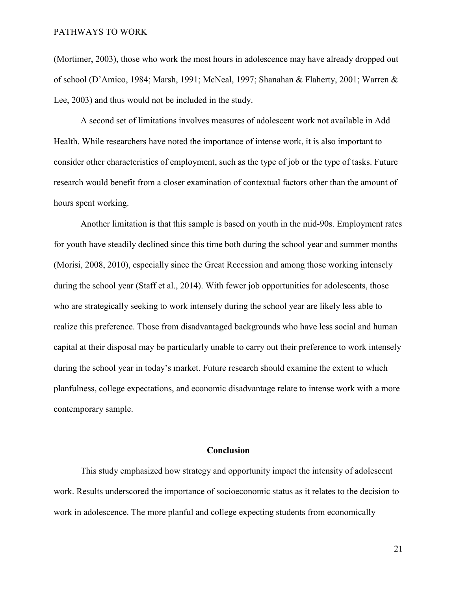(Mortimer, 2003), those who work the most hours in adolescence may have already dropped out of school (D'Amico, 1984; Marsh, 1991; McNeal, 1997; Shanahan & Flaherty, 2001; Warren & Lee, 2003) and thus would not be included in the study.

A second set of limitations involves measures of adolescent work not available in Add Health. While researchers have noted the importance of intense work, it is also important to consider other characteristics of employment, such as the type of job or the type of tasks. Future research would benefit from a closer examination of contextual factors other than the amount of hours spent working.

Another limitation is that this sample is based on youth in the mid-90s. Employment rates for youth have steadily declined since this time both during the school year and summer months (Morisi, 2008, 2010), especially since the Great Recession and among those working intensely during the school year (Staff et al., 2014). With fewer job opportunities for adolescents, those who are strategically seeking to work intensely during the school year are likely less able to realize this preference. Those from disadvantaged backgrounds who have less social and human capital at their disposal may be particularly unable to carry out their preference to work intensely during the school year in today's market. Future research should examine the extent to which planfulness, college expectations, and economic disadvantage relate to intense work with a more contemporary sample.

### **Conclusion**

This study emphasized how strategy and opportunity impact the intensity of adolescent work. Results underscored the importance of socioeconomic status as it relates to the decision to work in adolescence. The more planful and college expecting students from economically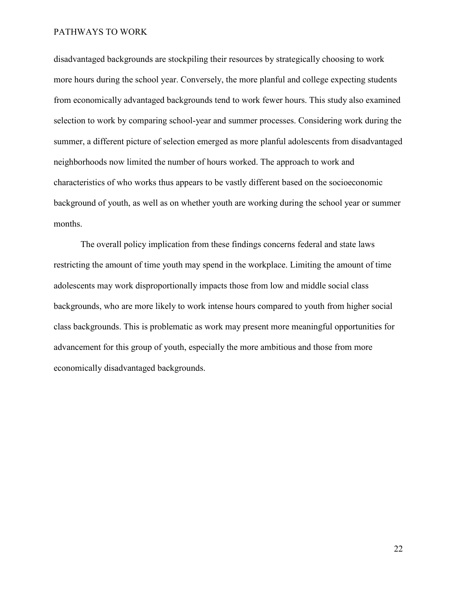disadvantaged backgrounds are stockpiling their resources by strategically choosing to work more hours during the school year. Conversely, the more planful and college expecting students from economically advantaged backgrounds tend to work fewer hours. This study also examined selection to work by comparing school-year and summer processes. Considering work during the summer, a different picture of selection emerged as more planful adolescents from disadvantaged neighborhoods now limited the number of hours worked. The approach to work and characteristics of who works thus appears to be vastly different based on the socioeconomic background of youth, as well as on whether youth are working during the school year or summer months.

The overall policy implication from these findings concerns federal and state laws restricting the amount of time youth may spend in the workplace. Limiting the amount of time adolescents may work disproportionally impacts those from low and middle social class backgrounds, who are more likely to work intense hours compared to youth from higher social class backgrounds. This is problematic as work may present more meaningful opportunities for advancement for this group of youth, especially the more ambitious and those from more economically disadvantaged backgrounds.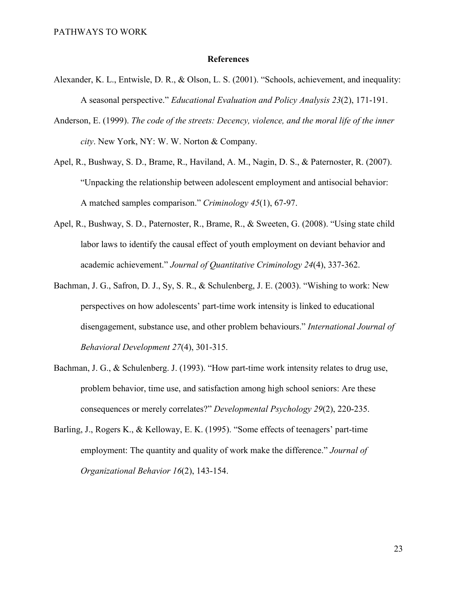### **References**

- Alexander, K. L., Entwisle, D. R., & Olson, L. S. (2001). "Schools, achievement, and inequality: A seasonal perspective." *Educational Evaluation and Policy Analysis 23*(2), 171-191.
- Anderson, E. (1999). *The code of the streets: Decency, violence, and the moral life of the inner city*. New York, NY: W. W. Norton & Company.
- Apel, R., Bushway, S. D., Brame, R., Haviland, A. M., Nagin, D. S., & Paternoster, R. (2007). "Unpacking the relationship between adolescent employment and antisocial behavior: A matched samples comparison." *Criminology 45*(1), 67-97.
- Apel, R., Bushway, S. D., Paternoster, R., Brame, R., & Sweeten, G. (2008). "Using state child labor laws to identify the causal effect of youth employment on deviant behavior and academic achievement." *Journal of Quantitative Criminology 24*(4), 337-362.
- Bachman, J. G., Safron, D. J., Sy, S. R., & Schulenberg, J. E. (2003). "Wishing to work: New perspectives on how adolescents' part-time work intensity is linked to educational disengagement, substance use, and other problem behaviours." *International Journal of Behavioral Development 27*(4), 301-315.
- Bachman, J. G., & Schulenberg. J. (1993). "How part-time work intensity relates to drug use, problem behavior, time use, and satisfaction among high school seniors: Are these consequences or merely correlates?" *Developmental Psychology 29*(2), 220-235.
- Barling, J., Rogers K., & Kelloway, E. K. (1995). "Some effects of teenagers' part-time employment: The quantity and quality of work make the difference." *Journal of Organizational Behavior 16*(2), 143-154.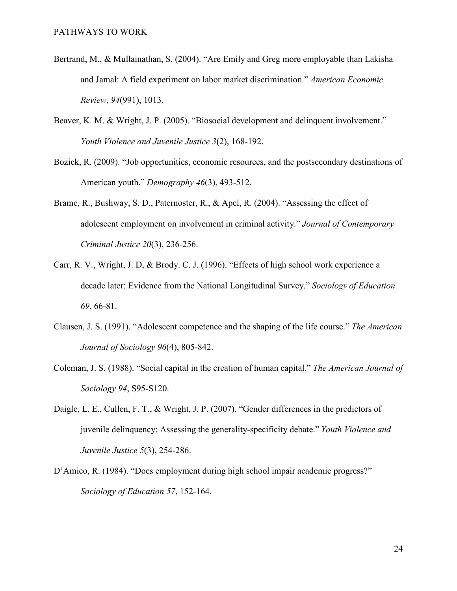- Bertrand, M., & Mullainathan, S. (2004). "Are Emily and Greg more employable than Lakisha and Jamal: A field experiment on labor market discrimination." *American Economic Review*, *94*(991), 1013.
- Beaver, K. M. & Wright, J. P. (2005). "Biosocial development and delinquent involvement." *Youth Violence and Juvenile Justice 3*(2), 168-192.
- Bozick, R. (2009). "Job opportunities, economic resources, and the postsecondary destinations of American youth." *Demography 46*(3), 493-512.
- Brame, R., Bushway, S. D., Paternoster, R., & Apel, R. (2004). "Assessing the effect of adolescent employment on involvement in criminal activity." *Journal of Contemporary Criminal Justice 20*(3), 236-256.
- Carr, R. V., Wright, J. D, & Brody. C. J. (1996). "Effects of high school work experience a decade later: Evidence from the National Longitudinal Survey." *Sociology of Education 69*, 66-81.
- Clausen, J. S. (1991). "Adolescent competence and the shaping of the life course." *The American Journal of Sociology 96*(4), 805-842.
- Coleman, J. S. (1988). "Social capital in the creation of human capital." *The American Journal of Sociology 94*, S95-S120.
- Daigle, L. E., Cullen, F. T., & Wright, J. P. (2007). "Gender differences in the predictors of juvenile delinquency: Assessing the generality-specificity debate." *Youth Violence and Juvenile Justice 5*(3), 254-286.
- D'Amico, R. (1984). "Does employment during high school impair academic progress?" *Sociology of Education 57*, 152-164.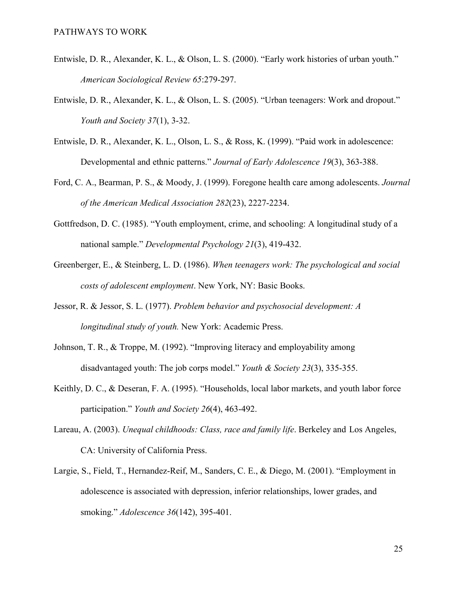- Entwisle, D. R., Alexander, K. L., & Olson, L. S. (2000). "Early work histories of urban youth." *American Sociological Review 65*:279-297.
- Entwisle, D. R., Alexander, K. L., & Olson, L. S. (2005). "Urban teenagers: Work and dropout." *Youth and Society 37*(1), 3-32.
- Entwisle, D. R., Alexander, K. L., Olson, L. S., & Ross, K. (1999). "Paid work in adolescence: Developmental and ethnic patterns." *Journal of Early Adolescence 19*(3), 363-388.
- Ford, C. A., Bearman, P. S., & Moody, J. (1999). Foregone health care among adolescents. *Journal of the American Medical Association 282*(23), 2227-2234.
- Gottfredson, D. C. (1985). "Youth employment, crime, and schooling: A longitudinal study of a national sample." *Developmental Psychology 21*(3), 419-432.
- Greenberger, E., & Steinberg, L. D. (1986). *When teenagers work: The psychological and social costs of adolescent employment*. New York, NY: Basic Books.
- Jessor, R. & Jessor, S. L. (1977). *Problem behavior and psychosocial development: A longitudinal study of youth.* New York: Academic Press.
- Johnson, T. R., & Troppe, M. (1992). "Improving literacy and employability among disadvantaged youth: The job corps model." *Youth & Society 23*(3), 335-355.
- Keithly, D. C., & Deseran, F. A. (1995). "Households, local labor markets, and youth labor force participation." *Youth and Society 26*(4), 463-492.
- Lareau, A. (2003). *Unequal childhoods: Class, race and family life*. Berkeley and Los Angeles, CA: University of California Press.
- Largie, S., Field, T., Hernandez-Reif, M., Sanders, C. E., & Diego, M. (2001). "Employment in adolescence is associated with depression, inferior relationships, lower grades, and smoking." *Adolescence 36*(142), 395-401.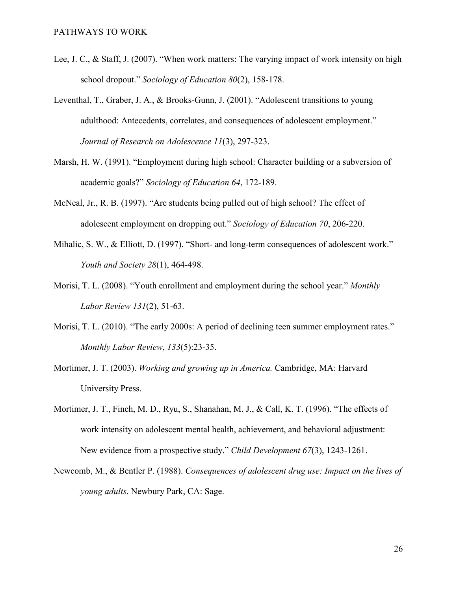- Lee, J. C., & Staff, J. (2007). "When work matters: The varying impact of work intensity on high school dropout." *Sociology of Education 80*(2), 158-178.
- Leventhal, T., Graber, J. A., & Brooks-Gunn, J. (2001). "Adolescent transitions to young adulthood: Antecedents, correlates, and consequences of adolescent employment." *Journal of Research on Adolescence 11*(3), 297-323.
- Marsh, H. W. (1991). "Employment during high school: Character building or a subversion of academic goals?" *Sociology of Education 64*, 172-189.
- McNeal, Jr., R. B. (1997). "Are students being pulled out of high school? The effect of adolescent employment on dropping out." *Sociology of Education 70*, 206-220.
- Mihalic, S. W., & Elliott, D. (1997). "Short- and long-term consequences of adolescent work." *Youth and Society 28*(1), 464-498.
- Morisi, T. L. (2008). "Youth enrollment and employment during the school year." *Monthly Labor Review 131*(2), 51-63.
- Morisi, T. L. (2010). "The early 2000s: A period of declining teen summer employment rates." *Monthly Labor Review*, *133*(5):23-35.
- Mortimer, J. T. (2003). *Working and growing up in America.* Cambridge, MA: Harvard University Press.
- Mortimer, J. T., Finch, M. D., Ryu, S., Shanahan, M. J., & Call, K. T. (1996). "The effects of work intensity on adolescent mental health, achievement, and behavioral adjustment: New evidence from a prospective study." *Child Development 67*(3), 1243-1261.
- Newcomb, M., & Bentler P. (1988). *Consequences of adolescent drug use: Impact on the lives of young adults*. Newbury Park, CA: Sage.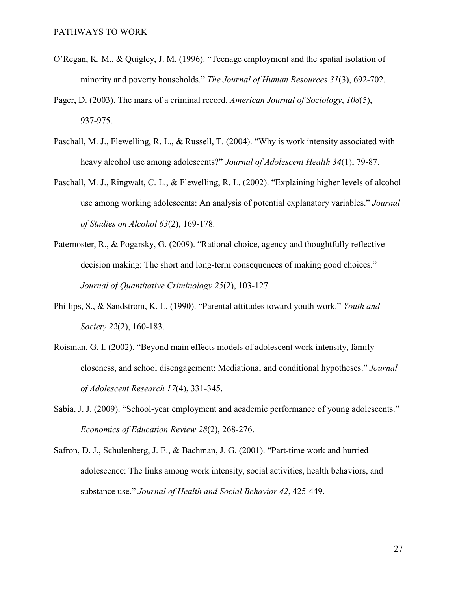- O'Regan, K. M., & Quigley, J. M. (1996). "Teenage employment and the spatial isolation of minority and poverty households." *The Journal of Human Resources 31*(3), 692-702.
- Pager, D. (2003). The mark of a criminal record. *American Journal of Sociology*, *108*(5), 937-975.
- Paschall, M. J., Flewelling, R. L., & Russell, T. (2004). "Why is work intensity associated with heavy alcohol use among adolescents?" *Journal of Adolescent Health 34*(1), 79-87.
- Paschall, M. J., Ringwalt, C. L., & Flewelling, R. L. (2002). "Explaining higher levels of alcohol use among working adolescents: An analysis of potential explanatory variables." *Journal of Studies on Alcohol 63*(2), 169-178.
- Paternoster, R., & Pogarsky, G. (2009). "Rational choice, agency and thoughtfully reflective decision making: The short and long-term consequences of making good choices." *Journal of Quantitative Criminology 25*(2), 103-127.
- Phillips, S., & Sandstrom, K. L. (1990). "Parental attitudes toward youth work." *Youth and Society 22*(2), 160-183.
- Roisman, G. I. (2002). "Beyond main effects models of adolescent work intensity, family closeness, and school disengagement: Mediational and conditional hypotheses." *Journal of Adolescent Research 17*(4), 331-345.
- Sabia, J. J. (2009). "School-year employment and academic performance of young adolescents." *Economics of Education Review 28*(2), 268-276.
- Safron, D. J., Schulenberg, J. E., & Bachman, J. G. (2001). "Part-time work and hurried adolescence: The links among work intensity, social activities, health behaviors, and substance use." *Journal of Health and Social Behavior 42*, 425-449.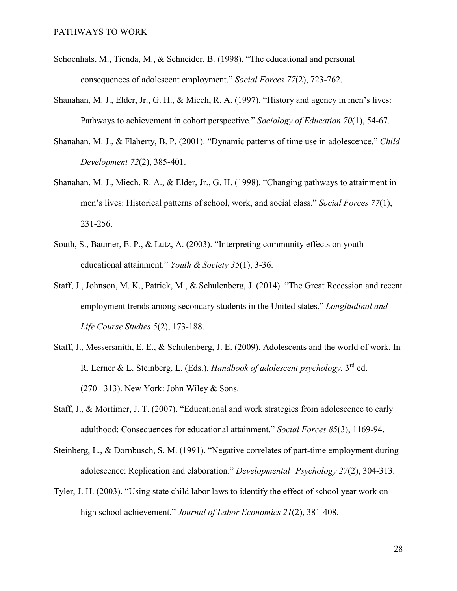- Schoenhals, M., Tienda, M., & Schneider, B. (1998). "The educational and personal consequences of adolescent employment." *Social Forces 77*(2), 723-762.
- Shanahan, M. J., Elder, Jr., G. H., & Miech, R. A. (1997). "History and agency in men's lives: Pathways to achievement in cohort perspective." *Sociology of Education 70*(1), 54-67.
- Shanahan, M. J., & Flaherty, B. P. (2001). "Dynamic patterns of time use in adolescence." *Child Development 72*(2), 385-401.
- Shanahan, M. J., Miech, R. A., & Elder, Jr., G. H. (1998). "Changing pathways to attainment in men's lives: Historical patterns of school, work, and social class." *Social Forces 77*(1), 231-256.
- South, S., Baumer, E. P., & Lutz, A. (2003). "Interpreting community effects on youth educational attainment." *Youth & Society 35*(1), 3-36.
- Staff, J., Johnson, M. K., Patrick, M., & Schulenberg, J. (2014). "The Great Recession and recent employment trends among secondary students in the United states." *Longitudinal and Life Course Studies 5*(2), 173-188.
- Staff, J., Messersmith, E. E., & Schulenberg, J. E. (2009). Adolescents and the world of work. In R. Lerner & L. Steinberg, L. (Eds.), *Handbook of adolescent psychology*, 3rd ed.  $(270 - 313)$ . New York: John Wiley & Sons.
- Staff, J., & Mortimer, J. T. (2007). "Educational and work strategies from adolescence to early adulthood: Consequences for educational attainment." *Social Forces 85*(3), 1169-94.
- Steinberg, L., & Dornbusch, S. M. (1991). "Negative correlates of part-time employment during adolescence: Replication and elaboration." *Developmental Psychology 27*(2), 304-313.
- Tyler, J. H. (2003). "Using state child labor laws to identify the effect of school year work on high school achievement." *Journal of Labor Economics 21*(2), 381-408.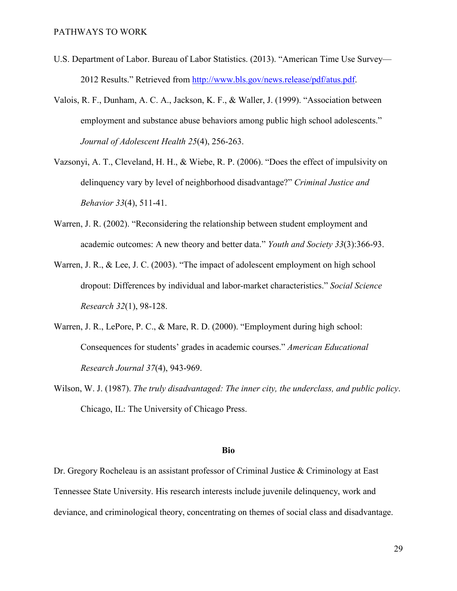- U.S. Department of Labor. Bureau of Labor Statistics. (2013). "American Time Use Survey— 2012 Results." Retrieved from [http://www.bls.gov/news.release/pdf/atus.pdf.](http://www.bls.gov/news.release/pdf/atus.pdf)
- Valois, R. F., Dunham, A. C. A., Jackson, K. F., & Waller, J. (1999). "Association between employment and substance abuse behaviors among public high school adolescents." *Journal of Adolescent Health 25*(4), 256-263.
- Vazsonyi, A. T., Cleveland, H. H., & Wiebe, R. P. (2006). "Does the effect of impulsivity on delinquency vary by level of neighborhood disadvantage?" *Criminal Justice and Behavior 33*(4), 511-41.
- Warren, J. R. (2002). "Reconsidering the relationship between student employment and academic outcomes: A new theory and better data." *Youth and Society 33*(3):366-93.
- Warren, J. R., & Lee, J. C. (2003). "The impact of adolescent employment on high school dropout: Differences by individual and labor-market characteristics." *Social Science Research 32*(1), 98-128.
- Warren, J. R., LePore, P. C., & Mare, R. D. (2000). "Employment during high school: Consequences for students' grades in academic courses." *American Educational Research Journal 37*(4), 943-969.
- Wilson, W. J. (1987). *The truly disadvantaged: The inner city, the underclass, and public policy*. Chicago, IL: The University of Chicago Press.

### **Bio**

Dr. Gregory Rocheleau is an assistant professor of Criminal Justice & Criminology at East Tennessee State University. His research interests include juvenile delinquency, work and deviance, and criminological theory, concentrating on themes of social class and disadvantage.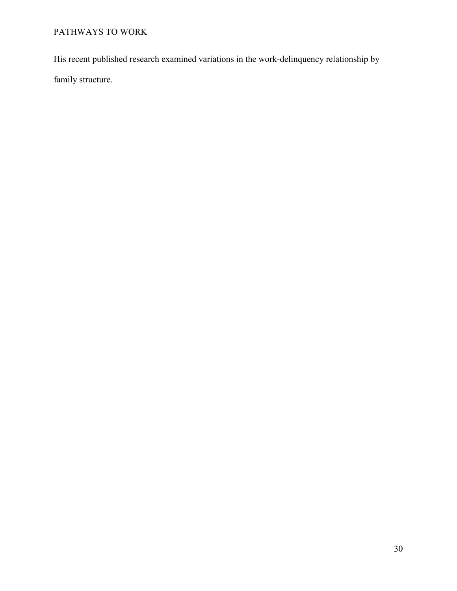His recent published research examined variations in the work-delinquency relationship by family structure.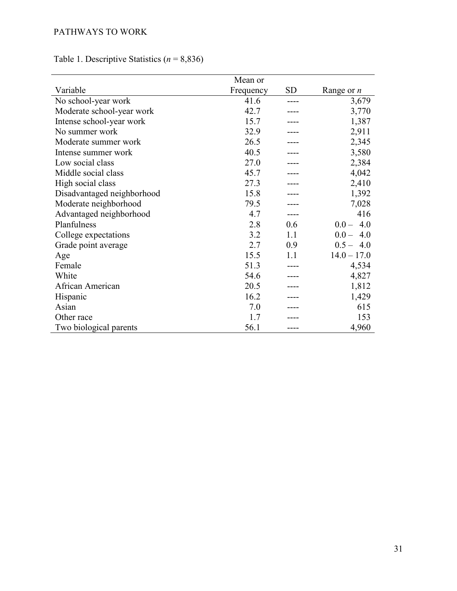|                            | Mean or   |           |               |
|----------------------------|-----------|-----------|---------------|
| Variable                   | Frequency | <b>SD</b> | Range or $n$  |
| No school-year work        | 41.6      |           | 3,679         |
| Moderate school-year work  | 42.7      |           | 3,770         |
| Intense school-year work   | 15.7      |           | 1,387         |
| No summer work             | 32.9      |           | 2,911         |
| Moderate summer work       | 26.5      |           | 2,345         |
| Intense summer work        | 40.5      |           | 3,580         |
| Low social class           | 27.0      |           | 2,384         |
| Middle social class        | 45.7      |           | 4,042         |
| High social class          | 27.3      |           | 2,410         |
| Disadvantaged neighborhood | 15.8      |           | 1,392         |
| Moderate neighborhood      | 79.5      |           | 7,028         |
| Advantaged neighborhood    | 4.7       |           | 416           |
| Planfulness                | 2.8       | 0.6       | $0.0 - 4.0$   |
| College expectations       | 3.2       | 1.1       | $0.0 - 4.0$   |
| Grade point average        | 2.7       | 0.9       | $0.5 - 4.0$   |
| Age                        | 15.5      | 11        | $14.0 - 17.0$ |
| Female                     | 51.3      |           | 4,534         |
| White                      | 54.6      |           | 4,827         |
| African American           | 20.5      |           | 1,812         |
| Hispanic                   | 16.2      |           | 1,429         |
| Asian                      | 7.0       |           | 615           |
| Other race                 | 1.7       |           | 153           |
| Two biological parents     | 56.1      |           | 4,960         |

Table 1. Descriptive Statistics (*n* = 8,836)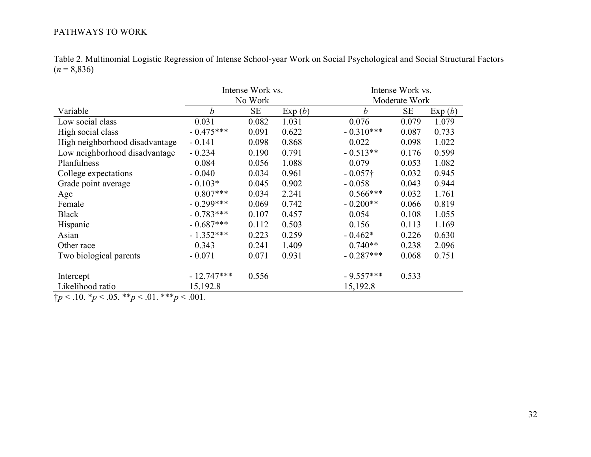| Table 2. Multinomial Logistic Regression of Intense School-year Work on Social Psychological and Social Structural Factors |  |
|----------------------------------------------------------------------------------------------------------------------------|--|
| $(n = 8,836)$                                                                                                              |  |

|                                |                  | Intense Work vs. |        | Intense Work vs. |               |        |  |
|--------------------------------|------------------|------------------|--------|------------------|---------------|--------|--|
|                                |                  | No Work          |        |                  | Moderate Work |        |  |
| Variable                       | $\boldsymbol{b}$ | <b>SE</b>        | Exp(b) | $\boldsymbol{b}$ | <b>SE</b>     | Exp(b) |  |
| Low social class               | 0.031            | 0.082            | 1.031  | 0.076            | 0.079         | 1.079  |  |
| High social class              | $-0.475***$      | 0.091            | 0.622  | $-0.310***$      | 0.087         | 0.733  |  |
| High neighborhood disadvantage | $-0.141$         | 0.098            | 0.868  | 0.022            | 0.098         | 1.022  |  |
| Low neighborhood disadvantage  | $-0.234$         | 0.190            | 0.791  | $-0.513**$       | 0.176         | 0.599  |  |
| Planfulness                    | 0.084            | 0.056            | 1.088  | 0.079            | 0.053         | 1.082  |  |
| College expectations           | $-0.040$         | 0.034            | 0.961  | $-0.057\dagger$  | 0.032         | 0.945  |  |
| Grade point average            | $-0.103*$        | 0.045            | 0.902  | $-0.058$         | 0.043         | 0.944  |  |
| Age                            | $0.807***$       | 0.034            | 2.241  | $0.566***$       | 0.032         | 1.761  |  |
| Female                         | $-0.299***$      | 0.069            | 0.742  | $-0.200**$       | 0.066         | 0.819  |  |
| <b>Black</b>                   | $-0.783***$      | 0.107            | 0.457  | 0.054            | 0.108         | 1.055  |  |
| Hispanic                       | $-0.687***$      | 0.112            | 0.503  | 0.156            | 0.113         | 1.169  |  |
| Asian                          | $-1.352***$      | 0.223            | 0.259  | $-0.462*$        | 0.226         | 0.630  |  |
| Other race                     | 0.343            | 0.241            | 1.409  | $0.740**$        | 0.238         | 2.096  |  |
| Two biological parents         | $-0.071$         | 0.071            | 0.931  | $-0.287***$      | 0.068         | 0.751  |  |
|                                |                  |                  |        |                  |               |        |  |
| Intercept                      | $-12.747***$     | 0.556            |        | $-9.557***$      | 0.533         |        |  |
| Likelihood ratio               | 15,192.8         |                  |        | 15,192.8         |               |        |  |

†*p* < .10. \**p* < .05. \*\**p* < .01. \*\*\**p* < .001.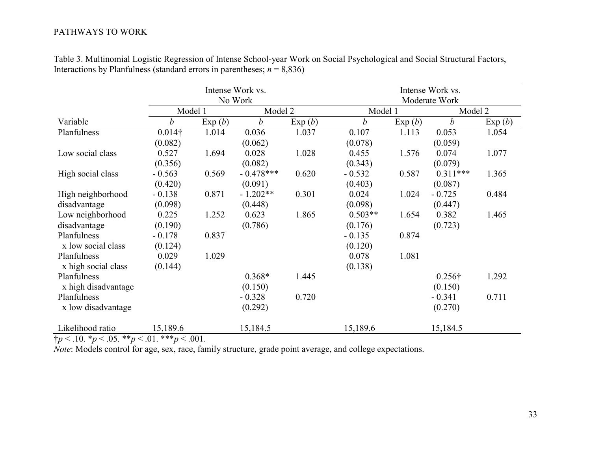|                     |                  |        | Intense Work vs.<br>No Work |        |                  |         | Intense Work vs.<br>Moderate Work |         |  |
|---------------------|------------------|--------|-----------------------------|--------|------------------|---------|-----------------------------------|---------|--|
|                     | Model 1          |        | Model 2                     |        |                  | Model 1 |                                   | Model 2 |  |
| Variable            | $\boldsymbol{b}$ | Exp(b) | $\boldsymbol{b}$            | Exp(b) | $\boldsymbol{b}$ | Exp(b)  | $\boldsymbol{b}$                  | Exp(b)  |  |
| Planfulness         | $0.014\dagger$   | 1.014  | 0.036                       | 1.037  | 0.107            | 1.113   | 0.053                             | 1.054   |  |
|                     | (0.082)          |        | (0.062)                     |        | (0.078)          |         | (0.059)                           |         |  |
| Low social class    | 0.527            | 1.694  | 0.028                       | 1.028  | 0.455            | 1.576   | 0.074                             | 1.077   |  |
|                     | (0.356)          |        | (0.082)                     |        | (0.343)          |         | (0.079)                           |         |  |
| High social class   | $-0.563$         | 0.569  | $-0.478***$                 | 0.620  | $-0.532$         | 0.587   | $0.311***$                        | 1.365   |  |
|                     | (0.420)          |        | (0.091)                     |        | (0.403)          |         | (0.087)                           |         |  |
| High neighborhood   | $-0.138$         | 0.871  | $-1.202**$                  | 0.301  | 0.024            | 1.024   | $-0.725$                          | 0.484   |  |
| disadvantage        | (0.098)          |        | (0.448)                     |        | (0.098)          |         | (0.447)                           |         |  |
| Low neighborhood    | 0.225            | 1.252  | 0.623                       | 1.865  | $0.503**$        | 1.654   | 0.382                             | 1.465   |  |
| disadvantage        | (0.190)          |        | (0.786)                     |        | (0.176)          |         | (0.723)                           |         |  |
| Planfulness         | $-0.178$         | 0.837  |                             |        | $-0.135$         | 0.874   |                                   |         |  |
| x low social class  | (0.124)          |        |                             |        | (0.120)          |         |                                   |         |  |
| Planfulness         | 0.029            | 1.029  |                             |        | 0.078            | 1.081   |                                   |         |  |
| x high social class | (0.144)          |        |                             |        | (0.138)          |         |                                   |         |  |
| Planfulness         |                  |        | $0.368*$                    | 1.445  |                  |         | $0.256\dagger$                    | 1.292   |  |
| x high disadvantage |                  |        | (0.150)                     |        |                  |         | (0.150)                           |         |  |
| Planfulness         |                  |        | $-0.328$                    | 0.720  |                  |         | $-0.341$                          | 0.711   |  |
| x low disadvantage  |                  |        | (0.292)                     |        |                  |         | (0.270)                           |         |  |
| Likelihood ratio    | 15,189.6         |        | 15,184.5                    |        | 15,189.6         |         | 15,184.5                          |         |  |

Table 3. Multinomial Logistic Regression of Intense School-year Work on Social Psychological and Social Structural Factors, Interactions by Planfulness (standard errors in parentheses;  $n = 8,836$ )

 $\frac{1}{4}p < .10.$   $\frac{1}{2}p < .05.$   $\frac{1}{4}p < .01.$   $\frac{1}{4}p < .001.$ 

*Note*: Models control for age, sex, race, family structure, grade point average, and college expectations.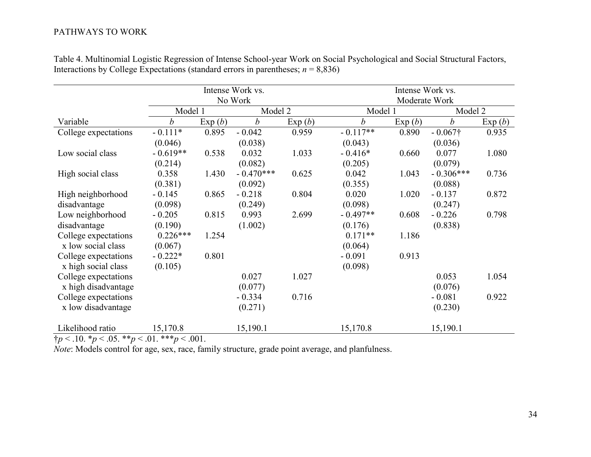|                      |                  |        | Intense Work vs. |         | Intense Work vs. |         |                  |         |  |
|----------------------|------------------|--------|------------------|---------|------------------|---------|------------------|---------|--|
|                      | No Work          |        |                  |         | Moderate Work    |         |                  |         |  |
|                      | Model 1          |        |                  | Model 2 |                  | Model 1 |                  | Model 2 |  |
| Variable             | $\boldsymbol{b}$ | Exp(b) | $\boldsymbol{b}$ | Exp(b)  | $\boldsymbol{b}$ | Exp(b)  | $\boldsymbol{b}$ | Exp(b)  |  |
| College expectations | $-0.111*$        | 0.895  | $-0.042$         | 0.959   | $-0.117**$       | 0.890   | $-0.067\dagger$  | 0.935   |  |
|                      | (0.046)          |        | (0.038)          |         | (0.043)          |         | (0.036)          |         |  |
| Low social class     | $-0.619**$       | 0.538  | 0.032            | 1.033   | $-0.416*$        | 0.660   | 0.077            | 1.080   |  |
|                      | (0.214)          |        | (0.082)          |         | (0.205)          |         | (0.079)          |         |  |
| High social class    | 0.358            | 1.430  | $-0.470***$      | 0.625   | 0.042            | 1.043   | $-0.306***$      | 0.736   |  |
|                      | (0.381)          |        | (0.092)          |         | (0.355)          |         | (0.088)          |         |  |
| High neighborhood    | $-0.145$         | 0.865  | $-0.218$         | 0.804   | 0.020            | 1.020   | $-0.137$         | 0.872   |  |
| disadvantage         | (0.098)          |        | (0.249)          |         | (0.098)          |         | (0.247)          |         |  |
| Low neighborhood     | $-0.205$         | 0.815  | 0.993            | 2.699   | $-0.497**$       | 0.608   | $-0.226$         | 0.798   |  |
| disadvantage         | (0.190)          |        | (1.002)          |         | (0.176)          |         | (0.838)          |         |  |
| College expectations | $0.226***$       | 1.254  |                  |         | $0.171**$        | 1.186   |                  |         |  |
| x low social class   | (0.067)          |        |                  |         | (0.064)          |         |                  |         |  |
| College expectations | $-0.222*$        | 0.801  |                  |         | $-0.091$         | 0.913   |                  |         |  |
| x high social class  | (0.105)          |        |                  |         | (0.098)          |         |                  |         |  |
| College expectations |                  |        | 0.027            | 1.027   |                  |         | 0.053            | 1.054   |  |
| x high disadvantage  |                  |        | (0.077)          |         |                  |         | (0.076)          |         |  |
| College expectations |                  |        | $-0.334$         | 0.716   |                  |         | $-0.081$         | 0.922   |  |
| x low disadvantage   |                  |        | (0.271)          |         |                  |         | (0.230)          |         |  |
| Likelihood ratio     | 15,170.8         |        | 15,190.1         |         | 15,170.8         |         | 15,190.1         |         |  |

Table 4. Multinomial Logistic Regression of Intense School-year Work on Social Psychological and Social Structural Factors, Interactions by College Expectations (standard errors in parentheses;  $n = 8,836$ )

 $\frac{1}{4}p < .10.$   $\frac{1}{2}p < .05.$   $\frac{1}{4}p < .01.$   $\frac{1}{4}p < .001.$ 

*Note*: Models control for age, sex, race, family structure, grade point average, and planfulness.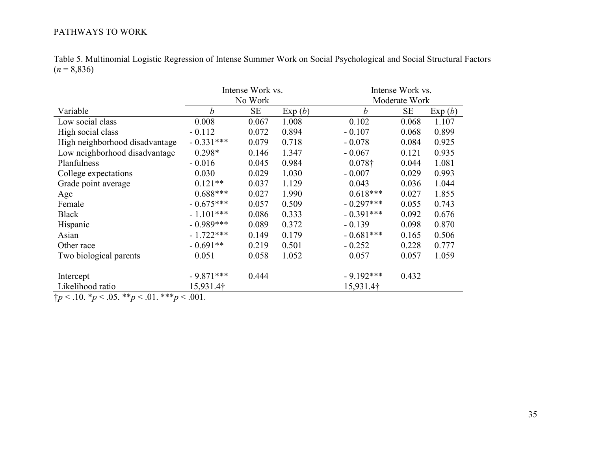| Table 5. Multinomial Logistic Regression of Intense Summer Work on Social Psychological and Social Structural Factors |  |
|-----------------------------------------------------------------------------------------------------------------------|--|
| $(n = 8,836)$                                                                                                         |  |

|                                |                  | Intense Work vs. |        |                  | Intense Work vs. |        |  |  |
|--------------------------------|------------------|------------------|--------|------------------|------------------|--------|--|--|
|                                |                  | No Work          |        |                  | Moderate Work    |        |  |  |
| Variable                       | $\boldsymbol{b}$ | <b>SE</b>        | Exp(b) | $\boldsymbol{b}$ | <b>SE</b>        | Exp(b) |  |  |
| Low social class               | 0.008            | 0.067            | 1.008  | 0.102            | 0.068            | 1.107  |  |  |
| High social class              | $-0.112$         | 0.072            | 0.894  | $-0.107$         | 0.068            | 0.899  |  |  |
| High neighborhood disadvantage | $-0.331***$      | 0.079            | 0.718  | $-0.078$         | 0.084            | 0.925  |  |  |
| Low neighborhood disadvantage  | $0.298*$         | 0.146            | 1.347  | $-0.067$         | 0.121            | 0.935  |  |  |
| Planfulness                    | $-0.016$         | 0.045            | 0.984  | $0.078\dagger$   | 0.044            | 1.081  |  |  |
| College expectations           | 0.030            | 0.029            | 1.030  | $-0.007$         | 0.029            | 0.993  |  |  |
| Grade point average            | $0.121**$        | 0.037            | 1.129  | 0.043            | 0.036            | 1.044  |  |  |
| Age                            | $0.688***$       | 0.027            | 1.990  | $0.618***$       | 0.027            | 1.855  |  |  |
| Female                         | $-0.675***$      | 0.057            | 0.509  | $-0.297***$      | 0.055            | 0.743  |  |  |
| <b>Black</b>                   | $-1.101***$      | 0.086            | 0.333  | $-0.391***$      | 0.092            | 0.676  |  |  |
| Hispanic                       | $-0.989***$      | 0.089            | 0.372  | $-0.139$         | 0.098            | 0.870  |  |  |
| Asian                          | $-1.722***$      | 0.149            | 0.179  | $-0.681***$      | 0.165            | 0.506  |  |  |
| Other race                     | $-0.691**$       | 0.219            | 0.501  | $-0.252$         | 0.228            | 0.777  |  |  |
| Two biological parents         | 0.051            | 0.058            | 1.052  | 0.057            | 0.057            | 1.059  |  |  |
|                                |                  |                  |        |                  |                  |        |  |  |
| Intercept                      | $-9.871***$      | 0.444            |        | $-9.192***$      | 0.432            |        |  |  |
| Likelihood ratio               | 15,931.4†        |                  |        | 15,931.4†        |                  |        |  |  |

†*p* < .10. \**p* < .05. \*\**p* < .01. \*\*\**p* < .001.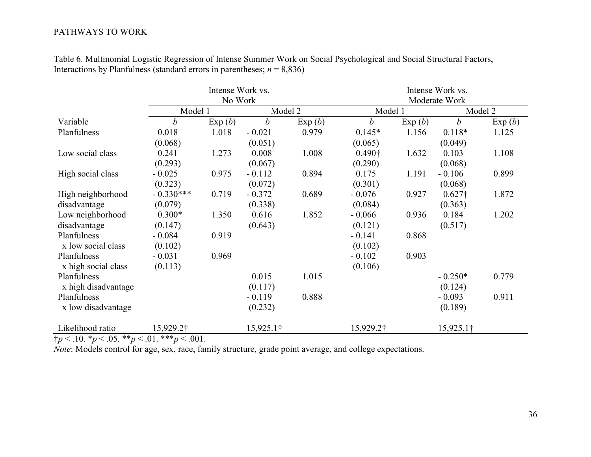|                     |                  | Intense Work vs. |                  | Intense Work vs. |                  |        |                  |        |  |
|---------------------|------------------|------------------|------------------|------------------|------------------|--------|------------------|--------|--|
|                     |                  | No Work          |                  |                  | Moderate Work    |        |                  |        |  |
|                     | Model 1          |                  | Model 2          |                  | Model 1          |        | Model 2          |        |  |
| Variable            | $\boldsymbol{b}$ | Exp(b)           | $\boldsymbol{b}$ | Exp(b)           | $\boldsymbol{b}$ | Exp(b) | $\boldsymbol{b}$ | Exp(b) |  |
| Planfulness         | 0.018            | 1.018            | $-0.021$         | 0.979            | $0.145*$         | 1.156  | $0.118*$         | 1.125  |  |
|                     | (0.068)          |                  | (0.051)          |                  | (0.065)          |        | (0.049)          |        |  |
| Low social class    | 0.241            | 1.273            | 0.008            | 1.008            | 0.490†           | 1.632  | 0.103            | 1.108  |  |
|                     | (0.293)          |                  | (0.067)          |                  | (0.290)          |        | (0.068)          |        |  |
| High social class   | $-0.025$         | 0.975            | $-0.112$         | 0.894            | 0.175            | 1.191  | $-0.106$         | 0.899  |  |
|                     | (0.323)          |                  | (0.072)          |                  | (0.301)          |        | (0.068)          |        |  |
| High neighborhood   | $-0.330***$      | 0.719            | $-0.372$         | 0.689            | $-0.076$         | 0.927  | $0.627\dagger$   | 1.872  |  |
| disadvantage        | (0.079)          |                  | (0.338)          |                  | (0.084)          |        | (0.363)          |        |  |
| Low neighborhood    | $0.300*$         | 1.350            | 0.616            | 1.852            | $-0.066$         | 0.936  | 0.184            | 1.202  |  |
| disadvantage        | (0.147)          |                  | (0.643)          |                  | (0.121)          |        | (0.517)          |        |  |
| Planfulness         | $-0.084$         | 0.919            |                  |                  | $-0.141$         | 0.868  |                  |        |  |
| x low social class  | (0.102)          |                  |                  |                  | (0.102)          |        |                  |        |  |
| Planfulness         | $-0.031$         | 0.969            |                  |                  | $-0.102$         | 0.903  |                  |        |  |
| x high social class | (0.113)          |                  |                  |                  | (0.106)          |        |                  |        |  |
| Planfulness         |                  |                  | 0.015            | 1.015            |                  |        | $-0.250*$        | 0.779  |  |
| x high disadvantage |                  |                  | (0.117)          |                  |                  |        | (0.124)          |        |  |
| Planfulness         |                  |                  | $-0.119$         | 0.888            |                  |        | $-0.093$         | 0.911  |  |
| x low disadvantage  |                  |                  | (0.232)          |                  |                  |        | (0.189)          |        |  |
| Likelihood ratio    | 15,929.2†        |                  | 15,925.1†        |                  | 15,929.2†        |        | 15,925.1†        |        |  |

Table 6. Multinomial Logistic Regression of Intense Summer Work on Social Psychological and Social Structural Factors, Interactions by Planfulness (standard errors in parentheses;  $n = 8,836$ )

 $\frac{1}{4}p < .10.$   $\frac{1}{2}p < .05.$   $\frac{1}{4}p < .01.$   $\frac{1}{4}p < .001.$ 

*Note*: Models control for age, sex, race, family structure, grade point average, and college expectations.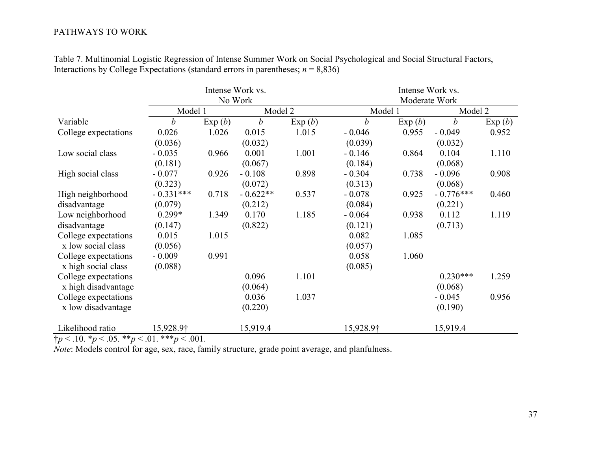|                      |             |        | Intense Work vs. |        | Intense Work vs. |        |                  |        |  |
|----------------------|-------------|--------|------------------|--------|------------------|--------|------------------|--------|--|
|                      |             |        | No Work          |        | Moderate Work    |        |                  |        |  |
|                      | Model 1     |        | Model 2          |        | Model 1          |        | Model 2          |        |  |
| Variable             | b           | Exp(b) | $\boldsymbol{b}$ | Exp(b) | $\boldsymbol{b}$ | Exp(b) | $\boldsymbol{b}$ | Exp(b) |  |
| College expectations | 0.026       | 1.026  | 0.015            | 1.015  | $-0.046$         | 0.955  | $-0.049$         | 0.952  |  |
|                      | (0.036)     |        | (0.032)          |        | (0.039)          |        | (0.032)          |        |  |
| Low social class     | $-0.035$    | 0.966  | 0.001            | 1.001  | $-0.146$         | 0.864  | 0.104            | 1.110  |  |
|                      | (0.181)     |        | (0.067)          |        | (0.184)          |        | (0.068)          |        |  |
| High social class    | $-0.077$    | 0.926  | $-0.108$         | 0.898  | $-0.304$         | 0.738  | $-0.096$         | 0.908  |  |
|                      | (0.323)     |        | (0.072)          |        | (0.313)          |        | (0.068)          |        |  |
| High neighborhood    | $-0.331***$ | 0.718  | $-0.622**$       | 0.537  | $-0.078$         | 0.925  | $-0.776***$      | 0.460  |  |
| disadvantage         | (0.079)     |        | (0.212)          |        | (0.084)          |        | (0.221)          |        |  |
| Low neighborhood     | $0.299*$    | 1.349  | 0.170            | 1.185  | $-0.064$         | 0.938  | 0.112            | 1.119  |  |
| disadvantage         | (0.147)     |        | (0.822)          |        | (0.121)          |        | (0.713)          |        |  |
| College expectations | 0.015       | 1.015  |                  |        | 0.082            | 1.085  |                  |        |  |
| x low social class   | (0.056)     |        |                  |        | (0.057)          |        |                  |        |  |
| College expectations | $-0.009$    | 0.991  |                  |        | 0.058            | 1.060  |                  |        |  |
| x high social class  | (0.088)     |        |                  |        | (0.085)          |        |                  |        |  |
| College expectations |             |        | 0.096            | 1.101  |                  |        | $0.230***$       | 1.259  |  |
| x high disadvantage  |             |        | (0.064)          |        |                  |        | (0.068)          |        |  |
| College expectations |             |        | 0.036            | 1.037  |                  |        | $-0.045$         | 0.956  |  |
| x low disadvantage   |             |        | (0.220)          |        |                  |        | (0.190)          |        |  |
| Likelihood ratio     | 15,928.9†   |        | 15,919.4         |        | 15,928.9†        |        | 15,919.4         |        |  |

Table 7. Multinomial Logistic Regression of Intense Summer Work on Social Psychological and Social Structural Factors, Interactions by College Expectations (standard errors in parentheses;  $n = 8,836$ )

 $\frac{1}{4}p < .10.$   $\frac{1}{2}p < .05.$   $\frac{1}{4}p < .01.$   $\frac{1}{4}p < .001.$ 

*Note*: Models control for age, sex, race, family structure, grade point average, and planfulness.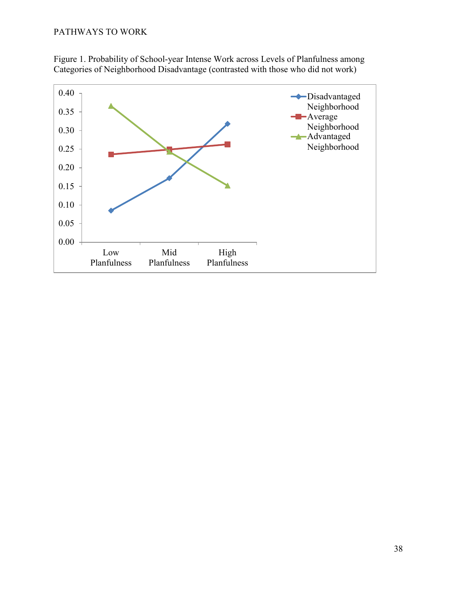

Figure 1. Probability of School-year Intense Work across Levels of Planfulness among Categories of Neighborhood Disadvantage (contrasted with those who did not work)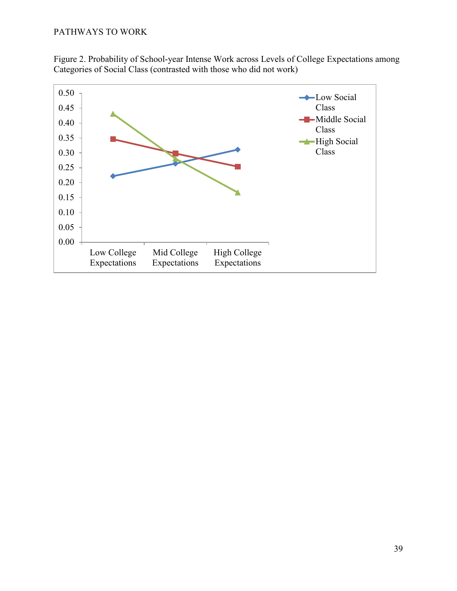

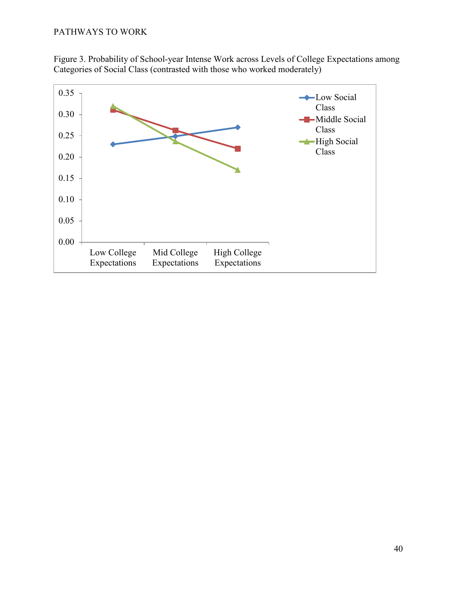

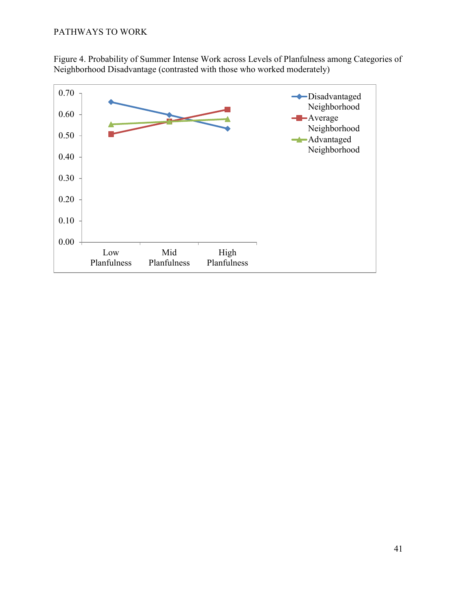Figure 4. Probability of Summer Intense Work across Levels of Planfulness among Categories of Neighborhood Disadvantage (contrasted with those who worked moderately)